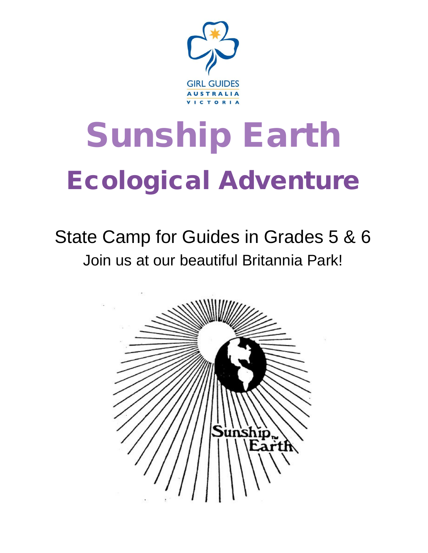

# Sunship Earth Ecological Adventure

# State Camp for Guides in Grades 5 & 6 Join us at our beautiful Britannia Park!

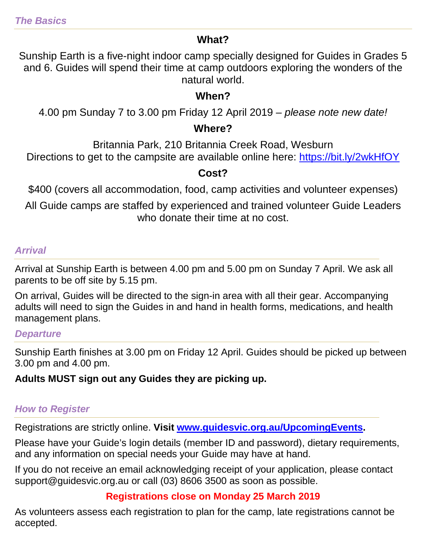# **What?**

Sunship Earth is a five-night indoor camp specially designed for Guides in Grades 5 and 6. Guides will spend their time at camp outdoors exploring the wonders of the natural world.

# **When?**

4.00 pm Sunday 7 to 3.00 pm Friday 12 April 2019 – *please note new date!*

# **Where?**

Britannia Park, 210 Britannia Creek Road, Wesburn

Directions to get to the campsite are available online here:<https://bit.ly/2wkHfOY>

# **Cost?**

\$400 (covers all accommodation, food, camp activities and volunteer expenses)

All Guide camps are staffed by experienced and trained volunteer Guide Leaders who donate their time at no cost.

# *Arrival*

Arrival at Sunship Earth is between 4.00 pm and 5.00 pm on Sunday 7 April. We ask all parents to be off site by 5.15 pm.

On arrival, Guides will be directed to the sign-in area with all their gear. Accompanying adults will need to sign the Guides in and hand in health forms, medications, and health management plans.

# *Departure*

Sunship Earth finishes at 3.00 pm on Friday 12 April. Guides should be picked up between 3.00 pm and 4.00 pm.

# **Adults MUST sign out any Guides they are picking up.**

# *How to Register*

Registrations are strictly online. **Visit [www.guidesvic.org.au/UpcomingEvents.](file://GGV-DC01/Central%20File/Events/State%20Events/2018/2018%20Sunship%20Earth/www.guidesvic.org.au/UpcomingEvents)**

Please have your Guide's login details (member ID and password), dietary requirements, and any information on special needs your Guide may have at hand.

If you do not receive an email acknowledging receipt of your application, please contact support@guidesvic.org.au or call (03) 8606 3500 as soon as possible.

# **Registrations close on Monday 25 March 2019**

As volunteers assess each registration to plan for the camp, late registrations cannot be accepted.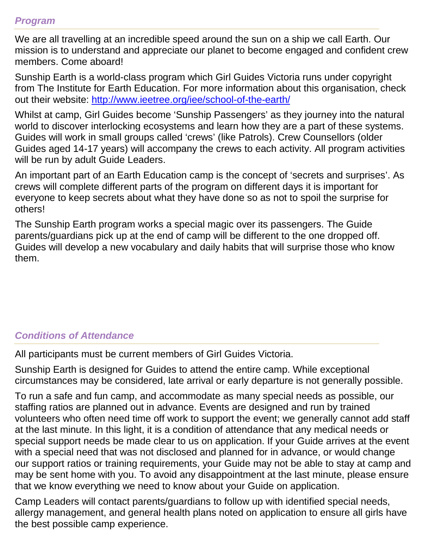# *Program*

We are all travelling at an incredible speed around the sun on a ship we call Earth. Our mission is to understand and appreciate our planet to become engaged and confident crew members. Come aboard!

Sunship Earth is a world-class program which Girl Guides Victoria runs under copyright from The Institute for Earth Education. For more information about this organisation, check out their website:<http://www.ieetree.org/iee/school-of-the-earth/>

Whilst at camp, Girl Guides become 'Sunship Passengers' as they journey into the natural world to discover interlocking ecosystems and learn how they are a part of these systems. Guides will work in small groups called 'crews' (like Patrols). Crew Counsellors (older Guides aged 14-17 years) will accompany the crews to each activity. All program activities will be run by adult Guide Leaders.

An important part of an Earth Education camp is the concept of 'secrets and surprises'. As crews will complete different parts of the program on different days it is important for everyone to keep secrets about what they have done so as not to spoil the surprise for others!

The Sunship Earth program works a special magic over its passengers. The Guide parents/guardians pick up at the end of camp will be different to the one dropped off. Guides will develop a new vocabulary and daily habits that will surprise those who know them.

# *Conditions of Attendance*

All participants must be current members of Girl Guides Victoria.

Sunship Earth is designed for Guides to attend the entire camp. While exceptional circumstances may be considered, late arrival or early departure is not generally possible.

To run a safe and fun camp, and accommodate as many special needs as possible, our staffing ratios are planned out in advance. Events are designed and run by trained volunteers who often need time off work to support the event; we generally cannot add staff at the last minute. In this light, it is a condition of attendance that any medical needs or special support needs be made clear to us on application. If your Guide arrives at the event with a special need that was not disclosed and planned for in advance, or would change our support ratios or training requirements, your Guide may not be able to stay at camp and may be sent home with you. To avoid any disappointment at the last minute, please ensure that we know everything we need to know about your Guide on application.

Camp Leaders will contact parents/guardians to follow up with identified special needs, allergy management, and general health plans noted on application to ensure all girls have the best possible camp experience.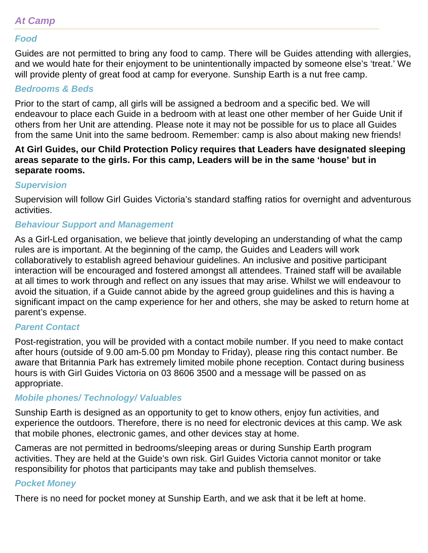# *At Camp*

#### *Food*

Guides are not permitted to bring any food to camp. There will be Guides attending with allergies, and we would hate for their enjoyment to be unintentionally impacted by someone else's 'treat.' We will provide plenty of great food at camp for everyone. Sunship Earth is a nut free camp.

#### *Bedrooms & Beds*

Prior to the start of camp, all girls will be assigned a bedroom and a specific bed. We will endeavour to place each Guide in a bedroom with at least one other member of her Guide Unit if others from her Unit are attending. Please note it may not be possible for us to place all Guides from the same Unit into the same bedroom. Remember: camp is also about making new friends!

#### **At Girl Guides, our Child Protection Policy requires that Leaders have designated sleeping areas separate to the girls. For this camp, Leaders will be in the same 'house' but in separate rooms.**

#### *Supervision*

Supervision will follow Girl Guides Victoria's standard staffing ratios for overnight and adventurous activities.

#### *Behaviour Support and Management*

As a Girl-Led organisation, we believe that jointly developing an understanding of what the camp rules are is important. At the beginning of the camp, the Guides and Leaders will work collaboratively to establish agreed behaviour guidelines. An inclusive and positive participant interaction will be encouraged and fostered amongst all attendees. Trained staff will be available at all times to work through and reflect on any issues that may arise. Whilst we will endeavour to avoid the situation, if a Guide cannot abide by the agreed group guidelines and this is having a significant impact on the camp experience for her and others, she may be asked to return home at parent's expense.

#### *Parent Contact*

Post-registration, you will be provided with a contact mobile number. If you need to make contact after hours (outside of 9.00 am-5.00 pm Monday to Friday), please ring this contact number. Be aware that Britannia Park has extremely limited mobile phone reception. Contact during business hours is with Girl Guides Victoria on 03 8606 3500 and a message will be passed on as appropriate.

#### *Mobile phones/ Technology/ Valuables*

Sunship Earth is designed as an opportunity to get to know others, enjoy fun activities, and experience the outdoors. Therefore, there is no need for electronic devices at this camp. We ask that mobile phones, electronic games, and other devices stay at home.

Cameras are not permitted in bedrooms/sleeping areas or during Sunship Earth program activities. They are held at the Guide's own risk. Girl Guides Victoria cannot monitor or take responsibility for photos that participants may take and publish themselves.

#### *Pocket Money*

There is no need for pocket money at Sunship Earth, and we ask that it be left at home.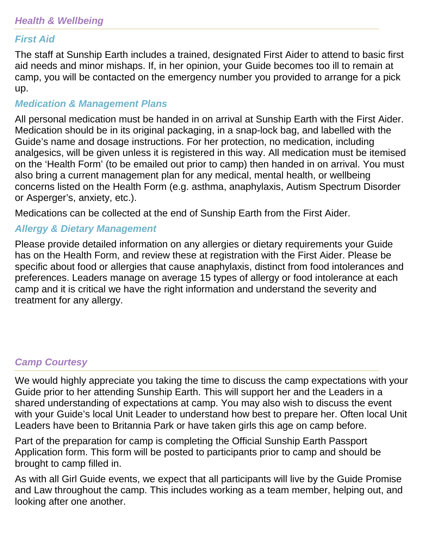# *First Aid*

The staff at Sunship Earth includes a trained, designated First Aider to attend to basic first aid needs and minor mishaps. If, in her opinion, your Guide becomes too ill to remain at camp, you will be contacted on the emergency number you provided to arrange for a pick up.

# *Medication & Management Plans*

All personal medication must be handed in on arrival at Sunship Earth with the First Aider. Medication should be in its original packaging, in a snap-lock bag, and labelled with the Guide's name and dosage instructions. For her protection, no medication, including analgesics, will be given unless it is registered in this way. All medication must be itemised on the 'Health Form' (to be emailed out prior to camp) then handed in on arrival. You must also bring a current management plan for any medical, mental health, or wellbeing concerns listed on the Health Form (e.g. asthma, anaphylaxis, Autism Spectrum Disorder or Asperger's, anxiety, etc.).

Medications can be collected at the end of Sunship Earth from the First Aider.

# *Allergy & Dietary Management*

Please provide detailed information on any allergies or dietary requirements your Guide has on the Health Form, and review these at registration with the First Aider. Please be specific about food or allergies that cause anaphylaxis, distinct from food intolerances and preferences. Leaders manage on average 15 types of allergy or food intolerance at each camp and it is critical we have the right information and understand the severity and treatment for any allergy.

# *Camp Courtesy*

We would highly appreciate you taking the time to discuss the camp expectations with your Guide prior to her attending Sunship Earth. This will support her and the Leaders in a shared understanding of expectations at camp. You may also wish to discuss the event with your Guide's local Unit Leader to understand how best to prepare her. Often local Unit Leaders have been to Britannia Park or have taken girls this age on camp before.

Part of the preparation for camp is completing the Official Sunship Earth Passport Application form. This form will be posted to participants prior to camp and should be brought to camp filled in.

As with all Girl Guide events, we expect that all participants will live by the Guide Promise and Law throughout the camp. This includes working as a team member, helping out, and looking after one another.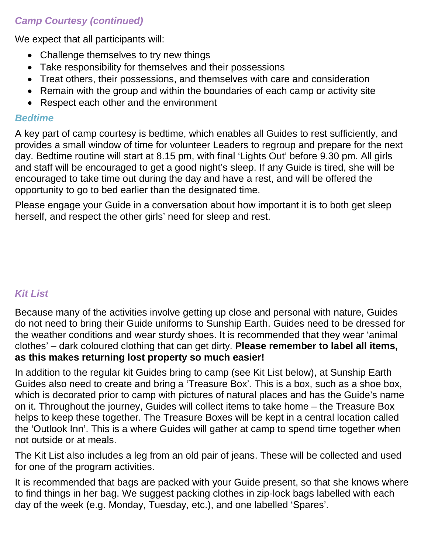# *Camp Courtesy (continued)*

We expect that all participants will:

- Challenge themselves to try new things
- Take responsibility for themselves and their possessions
- Treat others, their possessions, and themselves with care and consideration
- Remain with the group and within the boundaries of each camp or activity site
- Respect each other and the environment

## *Bedtime*

A key part of camp courtesy is bedtime, which enables all Guides to rest sufficiently, and provides a small window of time for volunteer Leaders to regroup and prepare for the next day. Bedtime routine will start at 8.15 pm, with final 'Lights Out' before 9.30 pm. All girls and staff will be encouraged to get a good night's sleep. If any Guide is tired, she will be encouraged to take time out during the day and have a rest, and will be offered the opportunity to go to bed earlier than the designated time.

Please engage your Guide in a conversation about how important it is to both get sleep herself, and respect the other girls' need for sleep and rest.

# *Kit List*

Because many of the activities involve getting up close and personal with nature, Guides do not need to bring their Guide uniforms to Sunship Earth. Guides need to be dressed for the weather conditions and wear sturdy shoes. It is recommended that they wear 'animal clothes' – dark coloured clothing that can get dirty. **Please remember to label all items, as this makes returning lost property so much easier!**

In addition to the regular kit Guides bring to camp (see Kit List below), at Sunship Earth Guides also need to create and bring a 'Treasure Box'*.* This is a box, such as a shoe box, which is decorated prior to camp with pictures of natural places and has the Guide's name on it. Throughout the journey, Guides will collect items to take home – the Treasure Box helps to keep these together. The Treasure Boxes will be kept in a central location called the 'Outlook Inn'. This is a where Guides will gather at camp to spend time together when not outside or at meals.

The Kit List also includes a leg from an old pair of jeans. These will be collected and used for one of the program activities.

It is recommended that bags are packed with your Guide present, so that she knows where to find things in her bag. We suggest packing clothes in zip-lock bags labelled with each day of the week (e.g. Monday, Tuesday, etc.), and one labelled 'Spares'.